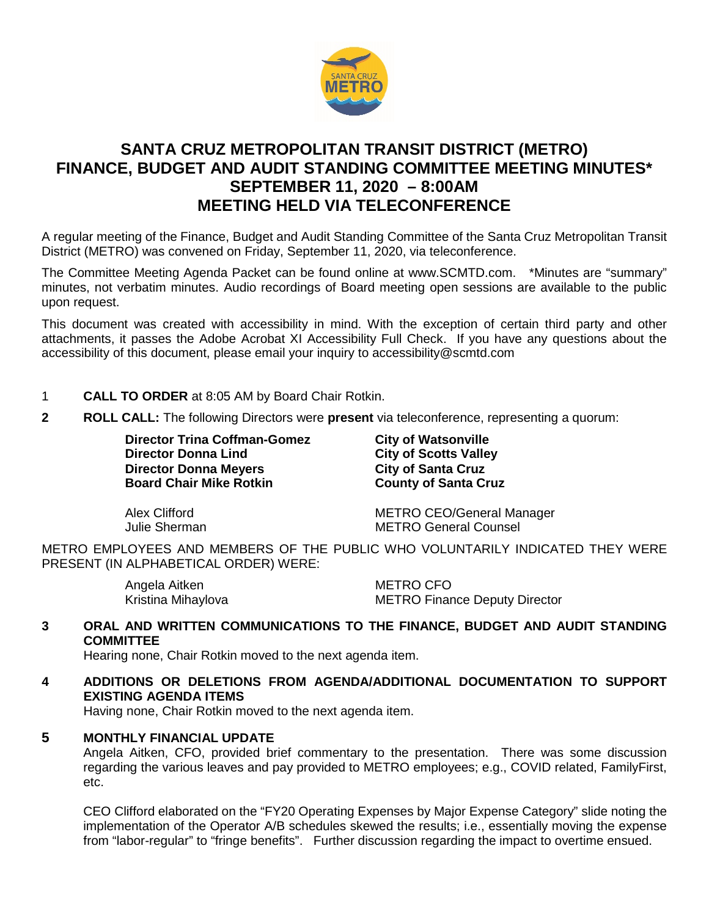

# **SANTA CRUZ METROPOLITAN TRANSIT DISTRICT (METRO) FINANCE, BUDGET AND AUDIT STANDING COMMITTEE MEETING MINUTES\* SEPTEMBER 11, 2020 – 8:00AM MEETING HELD VIA TELECONFERENCE**

A regular meeting of the Finance, Budget and Audit Standing Committee of the Santa Cruz Metropolitan Transit District (METRO) was convened on Friday, September 11, 2020, via teleconference.

The Committee Meeting Agenda Packet can be found online at www.SCMTD.com. \*Minutes are "summary" minutes, not verbatim minutes. Audio recordings of Board meeting open sessions are available to the public upon request.

This document was created with accessibility in mind. With the exception of certain third party and other attachments, it passes the Adobe Acrobat XI Accessibility Full Check. If you have any questions about the accessibility of this document, please email your inquiry to accessibility@scmtd.com

- 1 **CALL TO ORDER** at 8:05 AM by Board Chair Rotkin.
- **2 ROLL CALL:** The following Directors were **present** via teleconference, representing a quorum:

**Director Trina Coffman-Gomez City of Watsonville<br>
Director Donna Lind
<b>City of Scotts Valle Director Donna Meyers City of Santa Cruz Board Chair Mike Rotkin County of Santa Cruz** 

**City of Scotts Valley** 

Alex Clifford METRO CEO/General Manager Julie Sherman METRO General Counsel

METRO EMPLOYEES AND MEMBERS OF THE PUBLIC WHO VOLUNTARILY INDICATED THEY WERE PRESENT (IN ALPHABETICAL ORDER) WERE:

| Angela Aitken      | METRO CFO                            |
|--------------------|--------------------------------------|
| Kristina Mihaylova | <b>METRO Finance Deputy Director</b> |

#### **3 ORAL AND WRITTEN COMMUNICATIONS TO THE FINANCE, BUDGET AND AUDIT STANDING COMMITTEE**

Hearing none, Chair Rotkin moved to the next agenda item.

**4 ADDITIONS OR DELETIONS FROM AGENDA/ADDITIONAL DOCUMENTATION TO SUPPORT EXISTING AGENDA ITEMS** 

Having none, Chair Rotkin moved to the next agenda item.

#### **5 MONTHLY FINANCIAL UPDATE**

Angela Aitken, CFO, provided brief commentary to the presentation. There was some discussion regarding the various leaves and pay provided to METRO employees; e.g., COVID related, FamilyFirst, etc.

CEO Clifford elaborated on the "FY20 Operating Expenses by Major Expense Category" slide noting the implementation of the Operator A/B schedules skewed the results; i.e., essentially moving the expense from "labor-regular" to "fringe benefits". Further discussion regarding the impact to overtime ensued.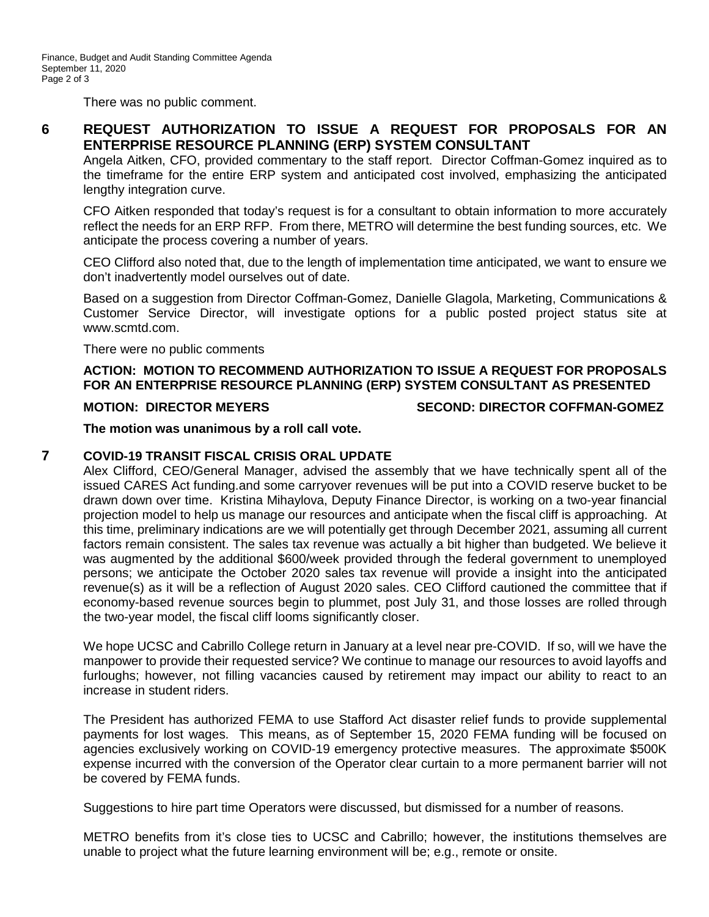There was no public comment.

## **6 REQUEST AUTHORIZATION TO ISSUE A REQUEST FOR PROPOSALS FOR AN ENTERPRISE RESOURCE PLANNING (ERP) SYSTEM CONSULTANT**

Angela Aitken, CFO, provided commentary to the staff report. Director Coffman-Gomez inquired as to the timeframe for the entire ERP system and anticipated cost involved, emphasizing the anticipated lengthy integration curve.

CFO Aitken responded that today's request is for a consultant to obtain information to more accurately reflect the needs for an ERP RFP. From there, METRO will determine the best funding sources, etc. We anticipate the process covering a number of years.

CEO Clifford also noted that, due to the length of implementation time anticipated, we want to ensure we don't inadvertently model ourselves out of date.

Based on a suggestion from Director Coffman-Gomez, Danielle Glagola, Marketing, Communications & Customer Service Director, will investigate options for a public posted project status site at www.scmtd.com.

There were no public comments

### **ACTION: MOTION TO RECOMMEND AUTHORIZATION TO ISSUE A REQUEST FOR PROPOSALS FOR AN ENTERPRISE RESOURCE PLANNING (ERP) SYSTEM CONSULTANT AS PRESENTED**

#### **MOTION: DIRECTOR MEYERS SECOND: DIRECTOR COFFMAN-GOMEZ**

**The motion was unanimous by a roll call vote.**

#### **7 COVID-19 TRANSIT FISCAL CRISIS ORAL UPDATE**

Alex Clifford, CEO/General Manager, advised the assembly that we have technically spent all of the issued CARES Act funding.and some carryover revenues will be put into a COVID reserve bucket to be drawn down over time. Kristina Mihaylova, Deputy Finance Director, is working on a two-year financial projection model to help us manage our resources and anticipate when the fiscal cliff is approaching. At this time, preliminary indications are we will potentially get through December 2021, assuming all current factors remain consistent. The sales tax revenue was actually a bit higher than budgeted. We believe it was augmented by the additional \$600/week provided through the federal government to unemployed persons; we anticipate the October 2020 sales tax revenue will provide a insight into the anticipated revenue(s) as it will be a reflection of August 2020 sales. CEO Clifford cautioned the committee that if economy-based revenue sources begin to plummet, post July 31, and those losses are rolled through the two-year model, the fiscal cliff looms significantly closer.

We hope UCSC and Cabrillo College return in January at a level near pre-COVID. If so, will we have the manpower to provide their requested service? We continue to manage our resources to avoid layoffs and furloughs; however, not filling vacancies caused by retirement may impact our ability to react to an increase in student riders.

The President has authorized FEMA to use Stafford Act disaster relief funds to provide supplemental payments for lost wages. This means, as of September 15, 2020 FEMA funding will be focused on agencies exclusively working on COVID-19 emergency protective measures. The approximate \$500K expense incurred with the conversion of the Operator clear curtain to a more permanent barrier will not be covered by FEMA funds.

Suggestions to hire part time Operators were discussed, but dismissed for a number of reasons.

METRO benefits from it's close ties to UCSC and Cabrillo; however, the institutions themselves are unable to project what the future learning environment will be; e.g., remote or onsite.